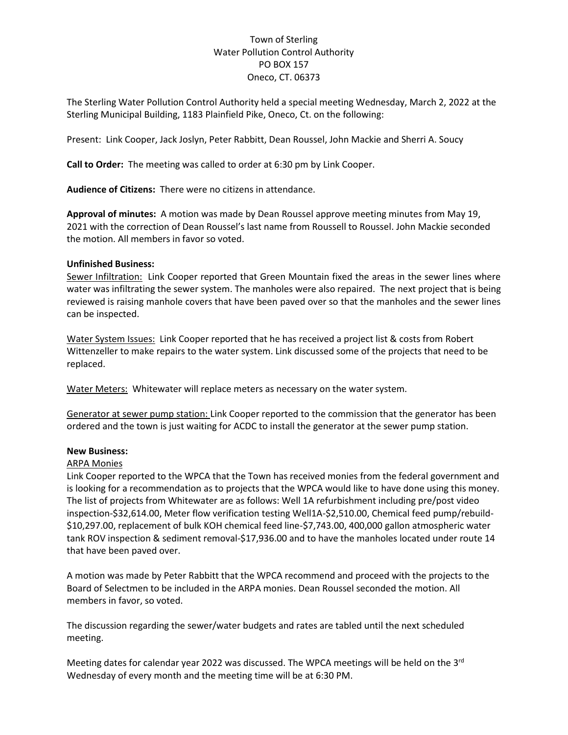## Town of Sterling Water Pollution Control Authority PO BOX 157 Oneco, CT. 06373

The Sterling Water Pollution Control Authority held a special meeting Wednesday, March 2, 2022 at the Sterling Municipal Building, 1183 Plainfield Pike, Oneco, Ct. on the following:

Present: Link Cooper, Jack Joslyn, Peter Rabbitt, Dean Roussel, John Mackie and Sherri A. Soucy

**Call to Order:** The meeting was called to order at 6:30 pm by Link Cooper.

**Audience of Citizens:** There were no citizens in attendance.

**Approval of minutes:** A motion was made by Dean Roussel approve meeting minutes from May 19, 2021 with the correction of Dean Roussel's last name from Roussell to Roussel. John Mackie seconded the motion. All members in favor so voted.

## **Unfinished Business:**

Sewer Infiltration: Link Cooper reported that Green Mountain fixed the areas in the sewer lines where water was infiltrating the sewer system. The manholes were also repaired. The next project that is being reviewed is raising manhole covers that have been paved over so that the manholes and the sewer lines can be inspected.

Water System Issues: Link Cooper reported that he has received a project list & costs from Robert Wittenzeller to make repairs to the water system. Link discussed some of the projects that need to be replaced.

Water Meters: Whitewater will replace meters as necessary on the water system.

Generator at sewer pump station: Link Cooper reported to the commission that the generator has been ordered and the town is just waiting for ACDC to install the generator at the sewer pump station.

## **New Business:**

## ARPA Monies

Link Cooper reported to the WPCA that the Town has received monies from the federal government and is looking for a recommendation as to projects that the WPCA would like to have done using this money. The list of projects from Whitewater are as follows: Well 1A refurbishment including pre/post video inspection-\$32,614.00, Meter flow verification testing Well1A-\$2,510.00, Chemical feed pump/rebuild- \$10,297.00, replacement of bulk KOH chemical feed line-\$7,743.00, 400,000 gallon atmospheric water tank ROV inspection & sediment removal-\$17,936.00 and to have the manholes located under route 14 that have been paved over.

A motion was made by Peter Rabbitt that the WPCA recommend and proceed with the projects to the Board of Selectmen to be included in the ARPA monies. Dean Roussel seconded the motion. All members in favor, so voted.

The discussion regarding the sewer/water budgets and rates are tabled until the next scheduled meeting.

Meeting dates for calendar year 2022 was discussed. The WPCA meetings will be held on the 3<sup>rd</sup> Wednesday of every month and the meeting time will be at 6:30 PM.